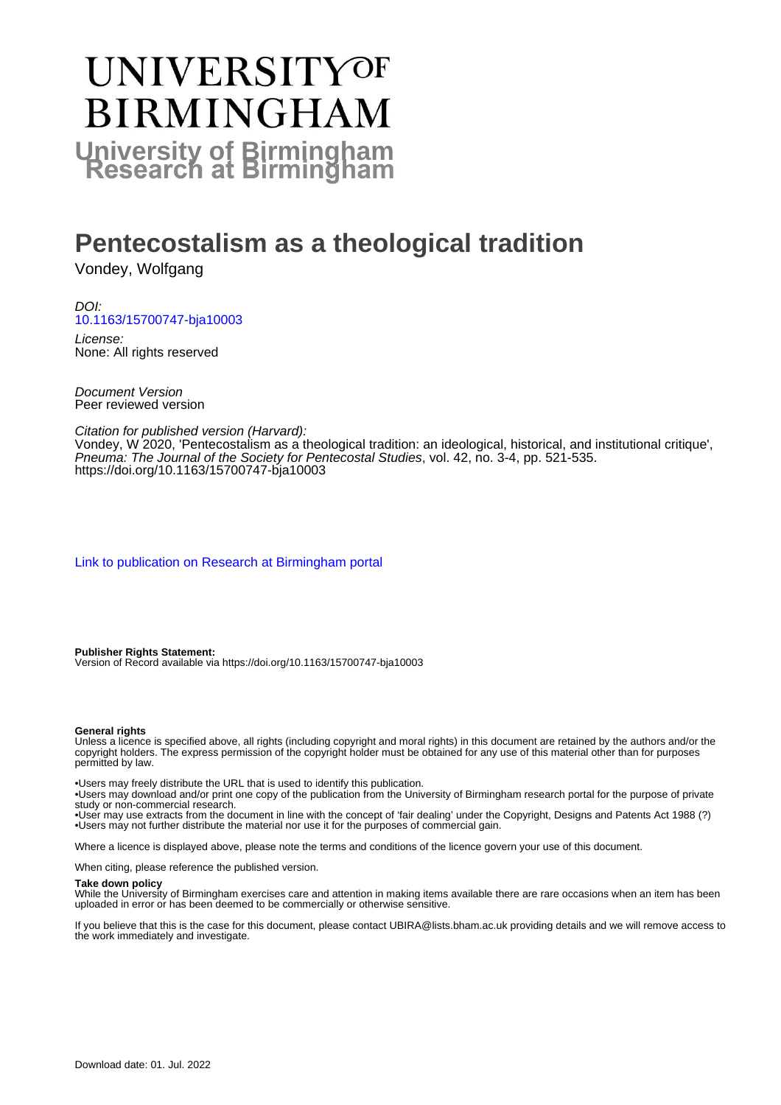# UNIVERSITYOF **BIRMINGHAM University of Birmingham**

# **Pentecostalism as a theological tradition**

Vondey, Wolfgang

DOI: [10.1163/15700747-bja10003](https://doi.org/10.1163/15700747-bja10003)

License: None: All rights reserved

Document Version Peer reviewed version

Citation for published version (Harvard):

Vondey, W 2020, 'Pentecostalism as a theological tradition: an ideological, historical, and institutional critique', Pneuma: The Journal of the Society for Pentecostal Studies, vol. 42, no. 3-4, pp. 521-535. <https://doi.org/10.1163/15700747-bja10003>

[Link to publication on Research at Birmingham portal](https://birmingham.elsevierpure.com/en/publications/f456fdad-7892-4b36-b4a0-9bb23ba67a63)

**Publisher Rights Statement:**

Version of Record available via https://doi.org/10.1163/15700747-bja10003

#### **General rights**

Unless a licence is specified above, all rights (including copyright and moral rights) in this document are retained by the authors and/or the copyright holders. The express permission of the copyright holder must be obtained for any use of this material other than for purposes permitted by law.

• Users may freely distribute the URL that is used to identify this publication.

• Users may download and/or print one copy of the publication from the University of Birmingham research portal for the purpose of private study or non-commercial research.

• User may use extracts from the document in line with the concept of 'fair dealing' under the Copyright, Designs and Patents Act 1988 (?) • Users may not further distribute the material nor use it for the purposes of commercial gain.

Where a licence is displayed above, please note the terms and conditions of the licence govern your use of this document.

When citing, please reference the published version.

#### **Take down policy**

While the University of Birmingham exercises care and attention in making items available there are rare occasions when an item has been uploaded in error or has been deemed to be commercially or otherwise sensitive.

If you believe that this is the case for this document, please contact UBIRA@lists.bham.ac.uk providing details and we will remove access to the work immediately and investigate.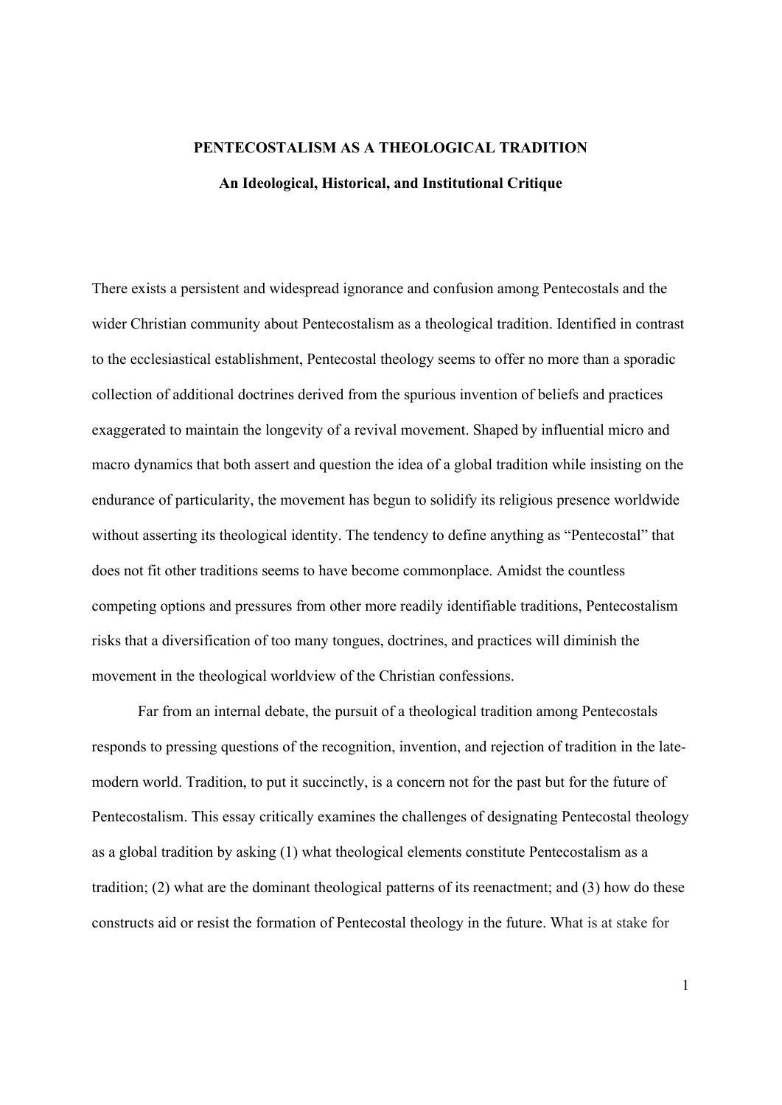## **PENTECOSTALISM AS A THEOLOGICAL TRADITION An Ideological, Historical, and Institutional Critique**

There exists a persistent and widespread ignorance and confusion among Pentecostals and the wider Christian community about Pentecostalism as a theological tradition. Identified in contrast to the ecclesiastical establishment, Pentecostal theology seems to offer no more than a sporadic collection of additional doctrines derived from the spurious invention of beliefs and practices exaggerated to maintain the longevity of a revival movement. Shaped by influential micro and macro dynamics that both assert and question the idea of a global tradition while insisting on the endurance of particularity, the movement has begun to solidify its religious presence worldwide without asserting its theological identity. The tendency to define anything as "Pentecostal" that does not fit other traditions seems to have become commonplace. Amidst the countless competing options and pressures from other more readily identifiable traditions, Pentecostalism risks that a diversification of too many tongues, doctrines, and practices will diminish the movement in the theological worldview of the Christian confessions.

Far from an internal debate, the pursuit of a theological tradition among Pentecostals responds to pressing questions of the recognition, invention, and rejection of tradition in the latemodern world. Tradition, to put it succinctly, is a concern not for the past but for the future of Pentecostalism. This essay critically examines the challenges of designating Pentecostal theology as a global tradition by asking (1) what theological elements constitute Pentecostalism as a tradition; (2) what are the dominant theological patterns of its reenactment; and (3) how do these constructs aid or resist the formation of Pentecostal theology in the future. What is at stake for

1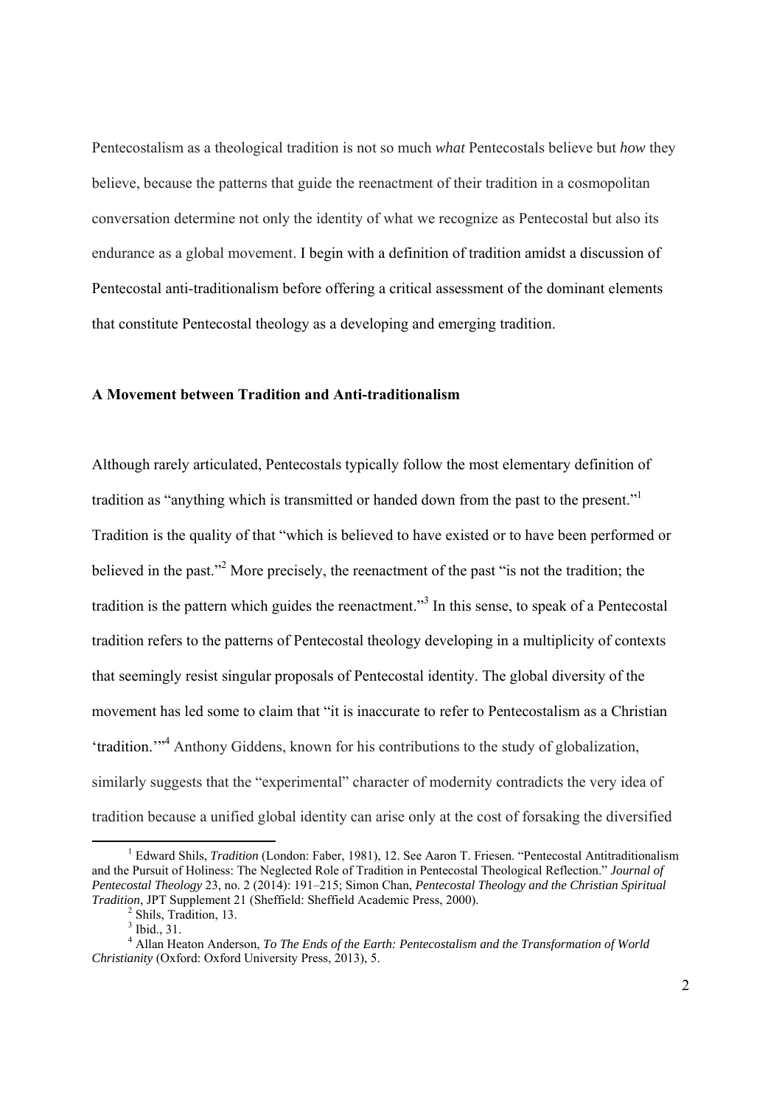Pentecostalism as a theological tradition is not so much *what* Pentecostals believe but *how* they believe, because the patterns that guide the reenactment of their tradition in a cosmopolitan conversation determine not only the identity of what we recognize as Pentecostal but also its endurance as a global movement. I begin with a definition of tradition amidst a discussion of Pentecostal anti-traditionalism before offering a critical assessment of the dominant elements that constitute Pentecostal theology as a developing and emerging tradition.

## **A Movement between Tradition and Anti-traditionalism**

Although rarely articulated, Pentecostals typically follow the most elementary definition of tradition as "anything which is transmitted or handed down from the past to the present." Tradition is the quality of that "which is believed to have existed or to have been performed or believed in the past."<sup>2</sup> More precisely, the reenactment of the past "is not the tradition; the tradition is the pattern which guides the reenactment."<sup>3</sup> In this sense, to speak of a Pentecostal tradition refers to the patterns of Pentecostal theology developing in a multiplicity of contexts that seemingly resist singular proposals of Pentecostal identity. The global diversity of the movement has led some to claim that "it is inaccurate to refer to Pentecostalism as a Christian 'tradition.'"4 Anthony Giddens, known for his contributions to the study of globalization, similarly suggests that the "experimental" character of modernity contradicts the very idea of tradition because a unified global identity can arise only at the cost of forsaking the diversified

 $\frac{1}{1}$ <sup>1</sup> Edward Shils, *Tradition* (London: Faber, 1981), 12. See Aaron T. Friesen. "Pentecostal Antitraditionalism and the Pursuit of Holiness: The Neglected Role of Tradition in Pentecostal Theological Reflection." *Journal of Pentecostal Theology* 23, no. 2 (2014): 191–215; Simon Chan, *Pentecostal Theology and the Christian Spiritual Tradition*, JPT Supplement 21 (Sheffield: Sheffield Academic Press, 2000).

<sup>&</sup>lt;sup>2</sup> Shils, Tradition, 13.

<sup>3</sup> Ibid., 31.

<sup>&</sup>lt;sup>4</sup> Allan Heaton Anderson, *To The Ends of the Earth: Pentecostalism and the Transformation of World Christianity* (Oxford: Oxford University Press, 2013), 5.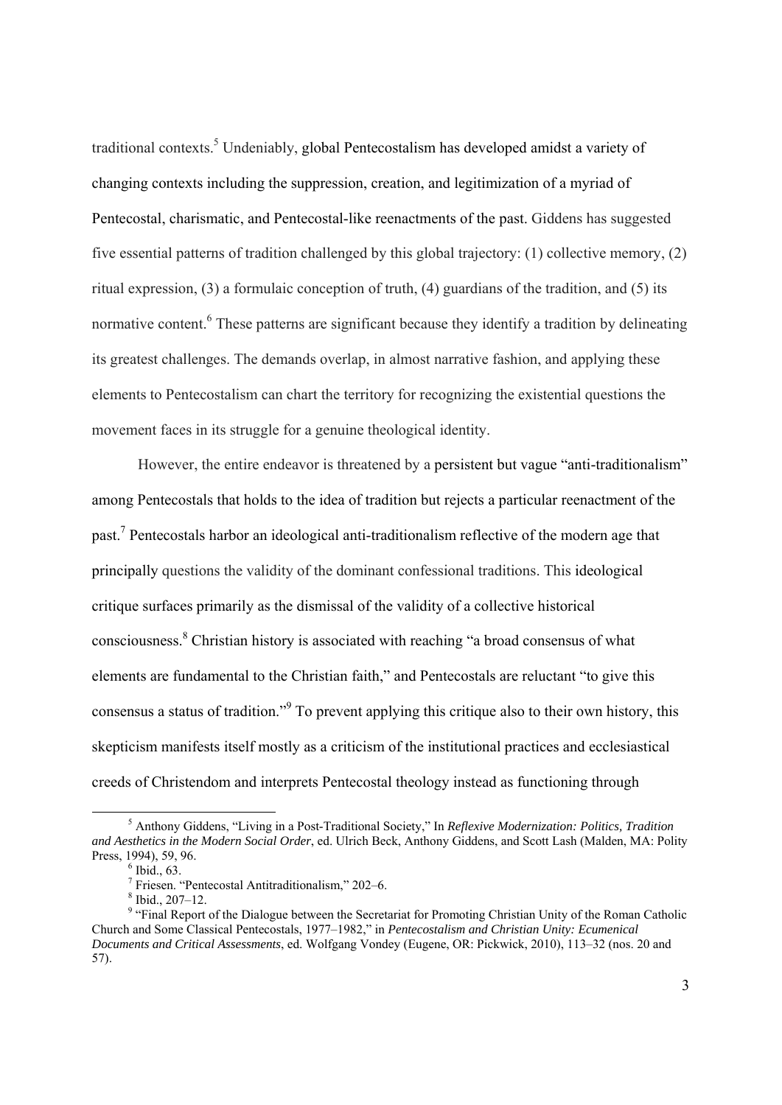traditional contexts.<sup>5</sup> Undeniably, global Pentecostalism has developed amidst a variety of changing contexts including the suppression, creation, and legitimization of a myriad of Pentecostal, charismatic, and Pentecostal-like reenactments of the past. Giddens has suggested five essential patterns of tradition challenged by this global trajectory: (1) collective memory, (2) ritual expression, (3) a formulaic conception of truth, (4) guardians of the tradition, and (5) its normative content. <sup>6</sup> These patterns are significant because they identify a tradition by delineating its greatest challenges. The demands overlap, in almost narrative fashion, and applying these elements to Pentecostalism can chart the territory for recognizing the existential questions the movement faces in its struggle for a genuine theological identity.

However, the entire endeavor is threatened by a persistent but vague "anti-traditionalism" among Pentecostals that holds to the idea of tradition but rejects a particular reenactment of the past.<sup>7</sup> Pentecostals harbor an ideological anti-traditionalism reflective of the modern age that principally questions the validity of the dominant confessional traditions. This ideological critique surfaces primarily as the dismissal of the validity of a collective historical consciousness.<sup>8</sup> Christian history is associated with reaching "a broad consensus of what elements are fundamental to the Christian faith," and Pentecostals are reluctant "to give this consensus a status of tradition."<sup>9</sup> To prevent applying this critique also to their own history, this skepticism manifests itself mostly as a criticism of the institutional practices and ecclesiastical creeds of Christendom and interprets Pentecostal theology instead as functioning through

 $rac{1}{5}$  Anthony Giddens, "Living in a Post-Traditional Society," In *Reflexive Modernization: Politics, Tradition and Aesthetics in the Modern Social Order*, ed. Ulrich Beck, Anthony Giddens, and Scott Lash (Malden, MA: Polity Press, 1994), 59, 96.

 $<sup>6</sup>$  Ibid., 63.</sup>

<sup>&</sup>lt;sup>7</sup> Friesen. "Pentecostal Antitraditionalism," 202–6.

<sup>8</sup> Ibid., 207–12.

<sup>&</sup>lt;sup>9</sup> "Final Report of the Dialogue between the Secretariat for Promoting Christian Unity of the Roman Catholic Church and Some Classical Pentecostals, 1977–1982," in *Pentecostalism and Christian Unity: Ecumenical Documents and Critical Assessments*, ed. Wolfgang Vondey (Eugene, OR: Pickwick, 2010), 113–32 (nos. 20 and 57).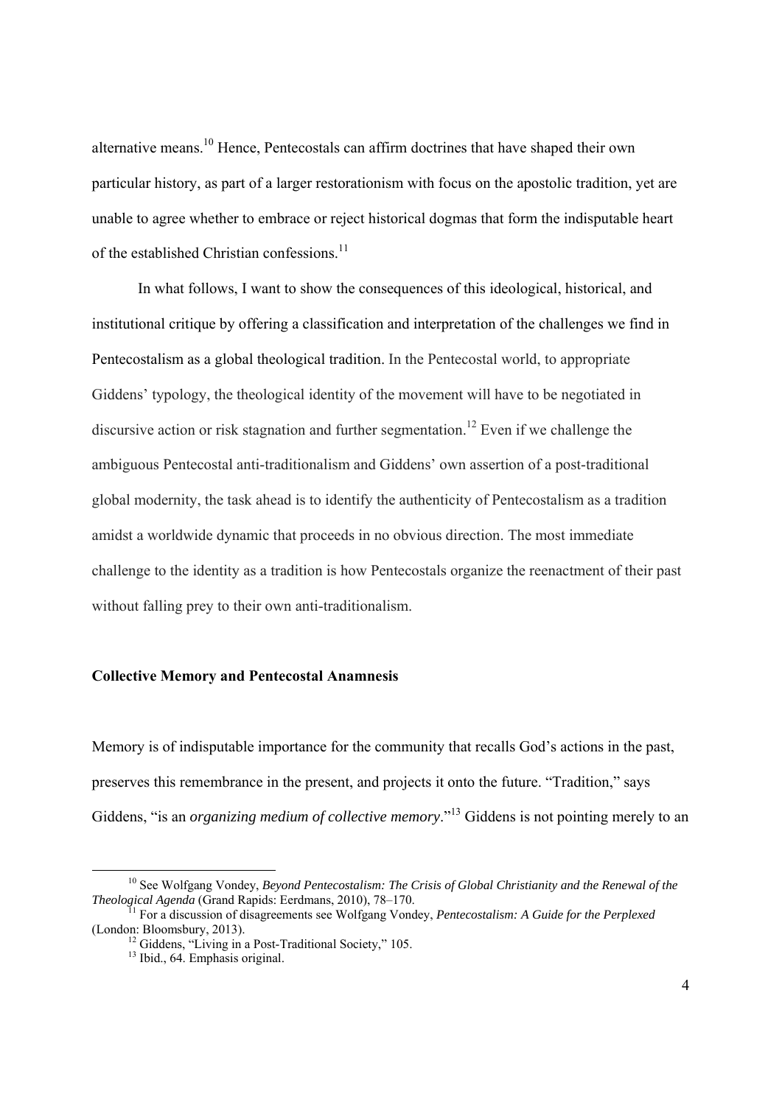alternative means.10 Hence, Pentecostals can affirm doctrines that have shaped their own particular history, as part of a larger restorationism with focus on the apostolic tradition, yet are unable to agree whether to embrace or reject historical dogmas that form the indisputable heart of the established Christian confessions.<sup>11</sup>

In what follows, I want to show the consequences of this ideological, historical, and institutional critique by offering a classification and interpretation of the challenges we find in Pentecostalism as a global theological tradition. In the Pentecostal world, to appropriate Giddens' typology, the theological identity of the movement will have to be negotiated in discursive action or risk stagnation and further segmentation.<sup>12</sup> Even if we challenge the ambiguous Pentecostal anti-traditionalism and Giddens' own assertion of a post-traditional global modernity, the task ahead is to identify the authenticity of Pentecostalism as a tradition amidst a worldwide dynamic that proceeds in no obvious direction. The most immediate challenge to the identity as a tradition is how Pentecostals organize the reenactment of their past without falling prey to their own anti-traditionalism.

#### **Collective Memory and Pentecostal Anamnesis**

Memory is of indisputable importance for the community that recalls God's actions in the past, preserves this remembrance in the present, and projects it onto the future. "Tradition," says Giddens, "is an *organizing medium of collective memory*."13 Giddens is not pointing merely to an

<sup>&</sup>lt;sup>10</sup> See Wolfgang Vondey, *Beyond Pentecostalism: The Crisis of Global Christianity and the Renewal of the Theological Agenda (Grand Rapids: Eerdmans, 2010), 78–170.* 

<sup>&</sup>lt;sup>Th</sup> For a discussion of disagreements see Wolfgang Vondey, *Pentecostalism: A Guide for the Perplexed* (London: Bloomsbury, 2013).

 $12$  Giddens, "Living in a Post-Traditional Society," 105.

<sup>&</sup>lt;sup>13</sup> Ibid., 64. Emphasis original.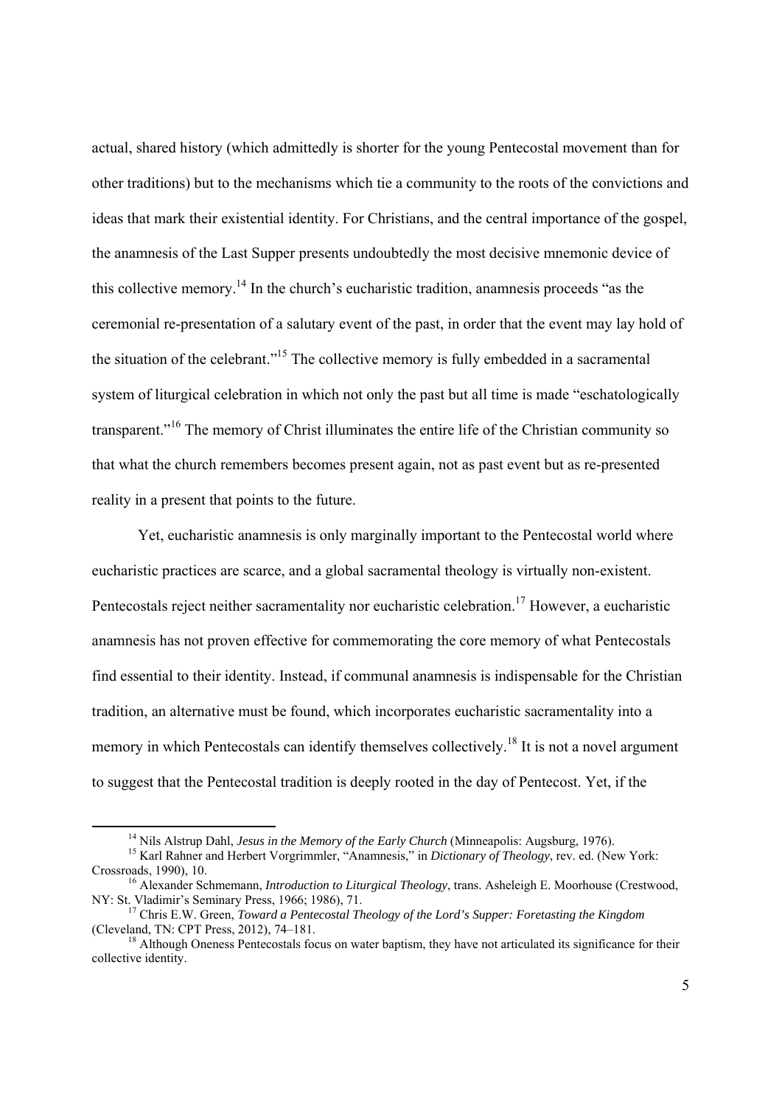actual, shared history (which admittedly is shorter for the young Pentecostal movement than for other traditions) but to the mechanisms which tie a community to the roots of the convictions and ideas that mark their existential identity. For Christians, and the central importance of the gospel, the anamnesis of the Last Supper presents undoubtedly the most decisive mnemonic device of this collective memory.14 In the church's eucharistic tradition, anamnesis proceeds "as the ceremonial re-presentation of a salutary event of the past, in order that the event may lay hold of the situation of the celebrant."15 The collective memory is fully embedded in a sacramental system of liturgical celebration in which not only the past but all time is made "eschatologically transparent."16 The memory of Christ illuminates the entire life of the Christian community so that what the church remembers becomes present again, not as past event but as re-presented reality in a present that points to the future.

Yet, eucharistic anamnesis is only marginally important to the Pentecostal world where eucharistic practices are scarce, and a global sacramental theology is virtually non-existent. Pentecostals reject neither sacramentality nor eucharistic celebration.<sup>17</sup> However, a eucharistic anamnesis has not proven effective for commemorating the core memory of what Pentecostals find essential to their identity. Instead, if communal anamnesis is indispensable for the Christian tradition, an alternative must be found, which incorporates eucharistic sacramentality into a memory in which Pentecostals can identify themselves collectively.<sup>18</sup> It is not a novel argument to suggest that the Pentecostal tradition is deeply rooted in the day of Pentecost. Yet, if the

<sup>&</sup>lt;sup>14</sup> Nils Alstrup Dahl, *Jesus in the Memory of the Early Church* (Minneapolis: Augsburg, 1976).<br><sup>15</sup> Karl Rahner and Herbert Vorgrimmler, "Anamnesis," in *Dictionary of Theology*, rev. ed. (New York:

Crossroads, 1990), 10.<br><sup>16</sup> Alexander Schmemann, *Introduction to Liturgical Theology*, trans. Asheleigh E. Moorhouse (Crestwood, NY: St. Vladimir's Seminary Press, 1966; 1986), 71.

<sup>&</sup>lt;sup>17</sup> Chris E.W. Green, *Toward a Pentecostal Theology of the Lord's Supper: Foretasting the Kingdom* (Cleveland, TN: CPT Press, 2012), 74–181.

 $^{18}$  Although Oneness Pentecostals focus on water baptism, they have not articulated its significance for their collective identity.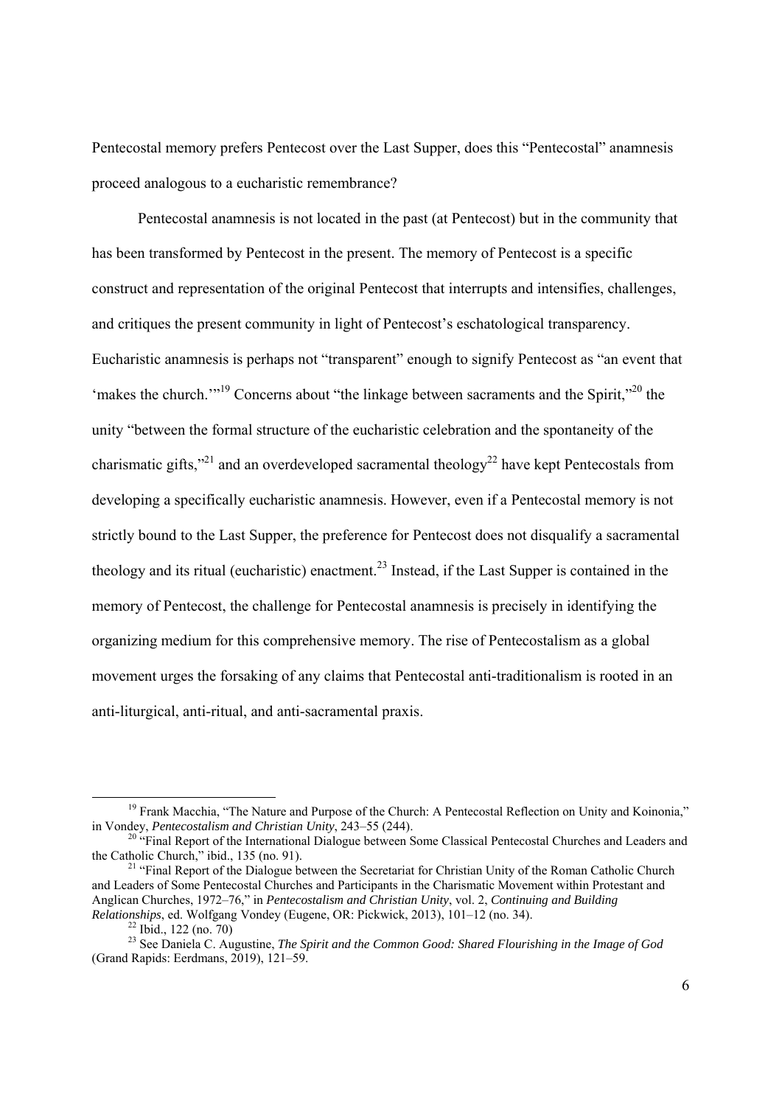Pentecostal memory prefers Pentecost over the Last Supper, does this "Pentecostal" anamnesis proceed analogous to a eucharistic remembrance?

 Pentecostal anamnesis is not located in the past (at Pentecost) but in the community that has been transformed by Pentecost in the present. The memory of Pentecost is a specific construct and representation of the original Pentecost that interrupts and intensifies, challenges, and critiques the present community in light of Pentecost's eschatological transparency. Eucharistic anamnesis is perhaps not "transparent" enough to signify Pentecost as "an event that 'makes the church."<sup>19</sup> Concerns about "the linkage between sacraments and the Spirit,"<sup>20</sup> the unity "between the formal structure of the eucharistic celebration and the spontaneity of the charismatic gifts,"<sup>21</sup> and an overdeveloped sacramental theology<sup>22</sup> have kept Pentecostals from developing a specifically eucharistic anamnesis. However, even if a Pentecostal memory is not strictly bound to the Last Supper, the preference for Pentecost does not disqualify a sacramental theology and its ritual (eucharistic) enactment.<sup>23</sup> Instead, if the Last Supper is contained in the memory of Pentecost, the challenge for Pentecostal anamnesis is precisely in identifying the organizing medium for this comprehensive memory. The rise of Pentecostalism as a global movement urges the forsaking of any claims that Pentecostal anti-traditionalism is rooted in an anti-liturgical, anti-ritual, and anti-sacramental praxis.

<sup>&</sup>lt;sup>19</sup> Frank Macchia, "The Nature and Purpose of the Church: A Pentecostal Reflection on Unity and Koinonia," in Vondey. *Pentecostalism and Christian Unity*, 243–55 (244).

<sup>&</sup>lt;sup>20</sup> "Final Report of the International Dialogue between Some Classical Pentecostal Churches and Leaders and the Catholic Church," ibid., 135 (no. 91).

 $t<sup>21</sup>$  "Final Report of the Dialogue between the Secretariat for Christian Unity of the Roman Catholic Church and Leaders of Some Pentecostal Churches and Participants in the Charismatic Movement within Protestant and Anglican Churches, 1972–76," in *Pentecostalism and Christian Unity*, vol. 2, *Continuing and Building Relationships*, ed. Wolfgang Vondey (Eugene, OR: Pickwick, 2013), 101–12 (no. 34). <sup>22</sup> Ibid., 122 (no. 70)

<sup>23</sup> See Daniela C. Augustine, *The Spirit and the Common Good: Shared Flourishing in the Image of God*  (Grand Rapids: Eerdmans, 2019), 121–59.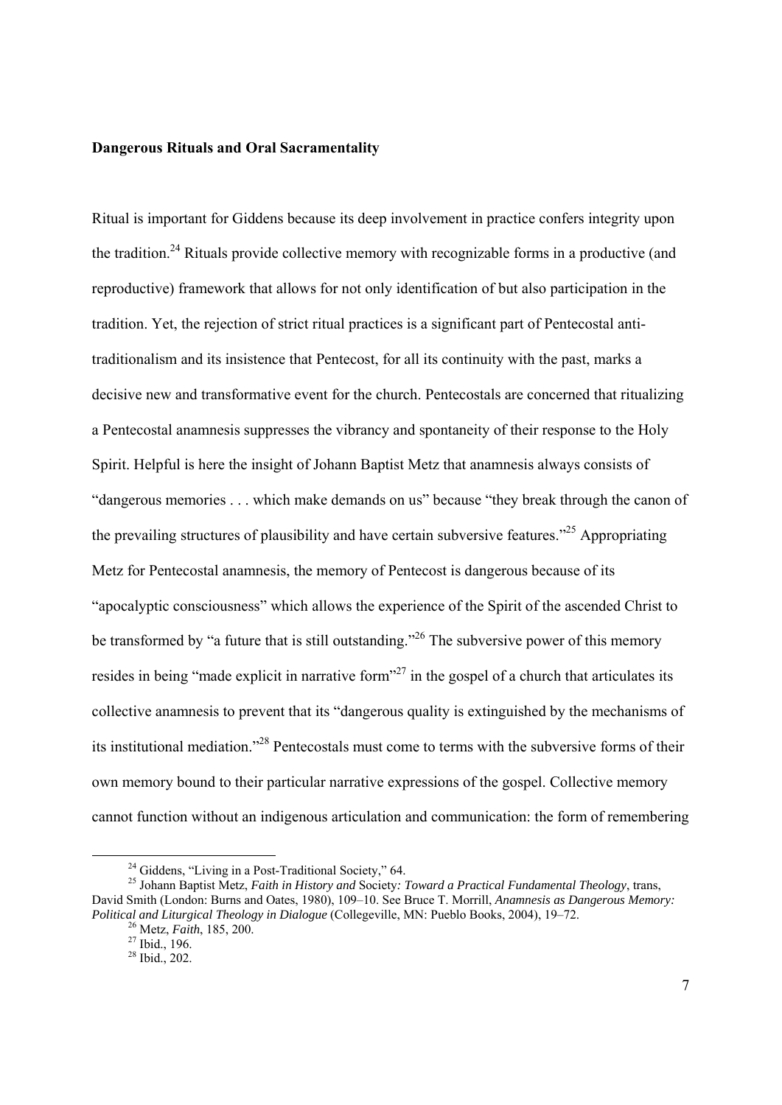#### **Dangerous Rituals and Oral Sacramentality**

Ritual is important for Giddens because its deep involvement in practice confers integrity upon the tradition.<sup>24</sup> Rituals provide collective memory with recognizable forms in a productive (and reproductive) framework that allows for not only identification of but also participation in the tradition. Yet, the rejection of strict ritual practices is a significant part of Pentecostal antitraditionalism and its insistence that Pentecost, for all its continuity with the past, marks a decisive new and transformative event for the church. Pentecostals are concerned that ritualizing a Pentecostal anamnesis suppresses the vibrancy and spontaneity of their response to the Holy Spirit. Helpful is here the insight of Johann Baptist Metz that anamnesis always consists of "dangerous memories . . . which make demands on us" because "they break through the canon of the prevailing structures of plausibility and have certain subversive features."<sup>25</sup> Appropriating Metz for Pentecostal anamnesis, the memory of Pentecost is dangerous because of its "apocalyptic consciousness" which allows the experience of the Spirit of the ascended Christ to be transformed by "a future that is still outstanding."<sup>26</sup> The subversive power of this memory resides in being "made explicit in narrative form"<sup>27</sup> in the gospel of a church that articulates its collective anamnesis to prevent that its "dangerous quality is extinguished by the mechanisms of its institutional mediation."28 Pentecostals must come to terms with the subversive forms of their own memory bound to their particular narrative expressions of the gospel. Collective memory cannot function without an indigenous articulation and communication: the form of remembering

<sup>&</sup>lt;sup>24</sup> Giddens, "Living in a Post-Traditional Society," 64.

<sup>25</sup> Johann Baptist Metz, *Faith in History and* Society*: Toward a Practical Fundamental Theology*, trans, David Smith (London: Burns and Oates, 1980), 109–10. See Bruce T. Morrill, *Anamnesis as Dangerous Memory: Political and Liturgical Theology in Dialogue* (Collegeville, MN: Pueblo Books, 2004), 19–72.<br><sup>26</sup> Metz, *Faith*, 185, 200. <sup>27</sup> Ibid., 196.

<sup>28</sup> Ibid., 202.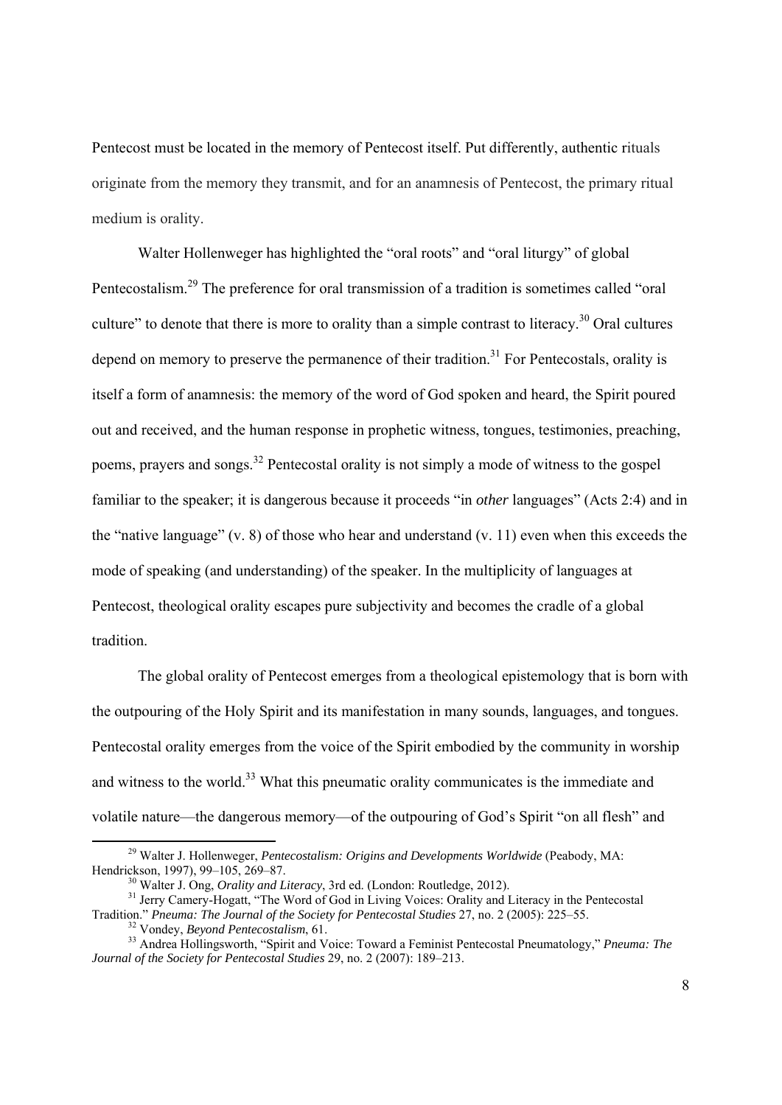Pentecost must be located in the memory of Pentecost itself. Put differently, authentic rituals originate from the memory they transmit, and for an anamnesis of Pentecost, the primary ritual medium is orality.

Walter Hollenweger has highlighted the "oral roots" and "oral liturgy" of global Pentecostalism.29 The preference for oral transmission of a tradition is sometimes called "oral culture" to denote that there is more to orality than a simple contrast to literacy.<sup>30</sup> Oral cultures depend on memory to preserve the permanence of their tradition.<sup>31</sup> For Pentecostals, orality is itself a form of anamnesis: the memory of the word of God spoken and heard, the Spirit poured out and received, and the human response in prophetic witness, tongues, testimonies, preaching, poems, prayers and songs.<sup>32</sup> Pentecostal orality is not simply a mode of witness to the gospel familiar to the speaker; it is dangerous because it proceeds "in *other* languages" (Acts 2:4) and in the "native language" (v. 8) of those who hear and understand (v. 11) even when this exceeds the mode of speaking (and understanding) of the speaker. In the multiplicity of languages at Pentecost, theological orality escapes pure subjectivity and becomes the cradle of a global tradition.

The global orality of Pentecost emerges from a theological epistemology that is born with the outpouring of the Holy Spirit and its manifestation in many sounds, languages, and tongues. Pentecostal orality emerges from the voice of the Spirit embodied by the community in worship and witness to the world.<sup>33</sup> What this pneumatic orality communicates is the immediate and volatile nature—the dangerous memory—of the outpouring of God's Spirit "on all flesh" and

<sup>&</sup>lt;sup>29</sup> Walter J. Hollenweger, *Pentecostalism: Origins and Developments Worldwide* (Peabody, MA: Hendrickson, 1997), 99–105, 269–87.

<sup>&</sup>lt;sup>30</sup> Walter J. Ong, *Orality and Literacy*, 3rd ed. (London: Routledge, 2012).<br><sup>31</sup> Jerry Camery-Hogatt, "The Word of God in Living Voices: Orality and Literacy in the Pentecostal Tradition." *Pneuma: The Journal of the So* 

 $32$  Vondey, Beyond Pentecostalism, 61.<br> $33$  Andrea Hollingsworth, "Spirit and Voice: Toward a Feminist Pentecostal Pneumatology," Pneuma: The *Journal of the Society for Pentecostal Studies* 29, no. 2 (2007): 189–213.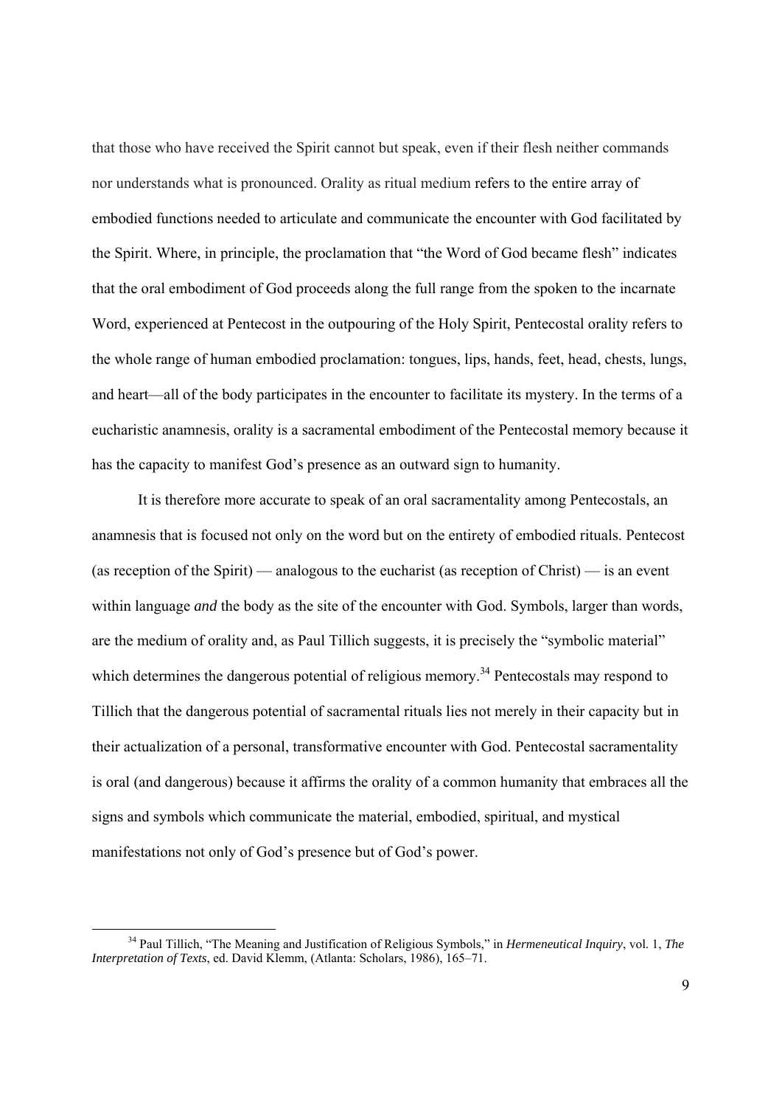that those who have received the Spirit cannot but speak, even if their flesh neither commands nor understands what is pronounced. Orality as ritual medium refers to the entire array of embodied functions needed to articulate and communicate the encounter with God facilitated by the Spirit. Where, in principle, the proclamation that "the Word of God became flesh" indicates that the oral embodiment of God proceeds along the full range from the spoken to the incarnate Word, experienced at Pentecost in the outpouring of the Holy Spirit, Pentecostal orality refers to the whole range of human embodied proclamation: tongues, lips, hands, feet, head, chests, lungs, and heart—all of the body participates in the encounter to facilitate its mystery. In the terms of a eucharistic anamnesis, orality is a sacramental embodiment of the Pentecostal memory because it has the capacity to manifest God's presence as an outward sign to humanity.

It is therefore more accurate to speak of an oral sacramentality among Pentecostals, an anamnesis that is focused not only on the word but on the entirety of embodied rituals. Pentecost (as reception of the Spirit) — analogous to the eucharist (as reception of Christ) — is an event within language *and* the body as the site of the encounter with God. Symbols, larger than words, are the medium of orality and, as Paul Tillich suggests, it is precisely the "symbolic material" which determines the dangerous potential of religious memory.<sup>34</sup> Pentecostals may respond to Tillich that the dangerous potential of sacramental rituals lies not merely in their capacity but in their actualization of a personal, transformative encounter with God. Pentecostal sacramentality is oral (and dangerous) because it affirms the orality of a common humanity that embraces all the signs and symbols which communicate the material, embodied, spiritual, and mystical manifestations not only of God's presence but of God's power.

 <sup>34</sup> Paul Tillich, "The Meaning and Justification of Religious Symbols," in *Hermeneutical Inquiry*, vol. 1, *The Interpretation of Texts*, ed. David Klemm, (Atlanta: Scholars, 1986), 165–71.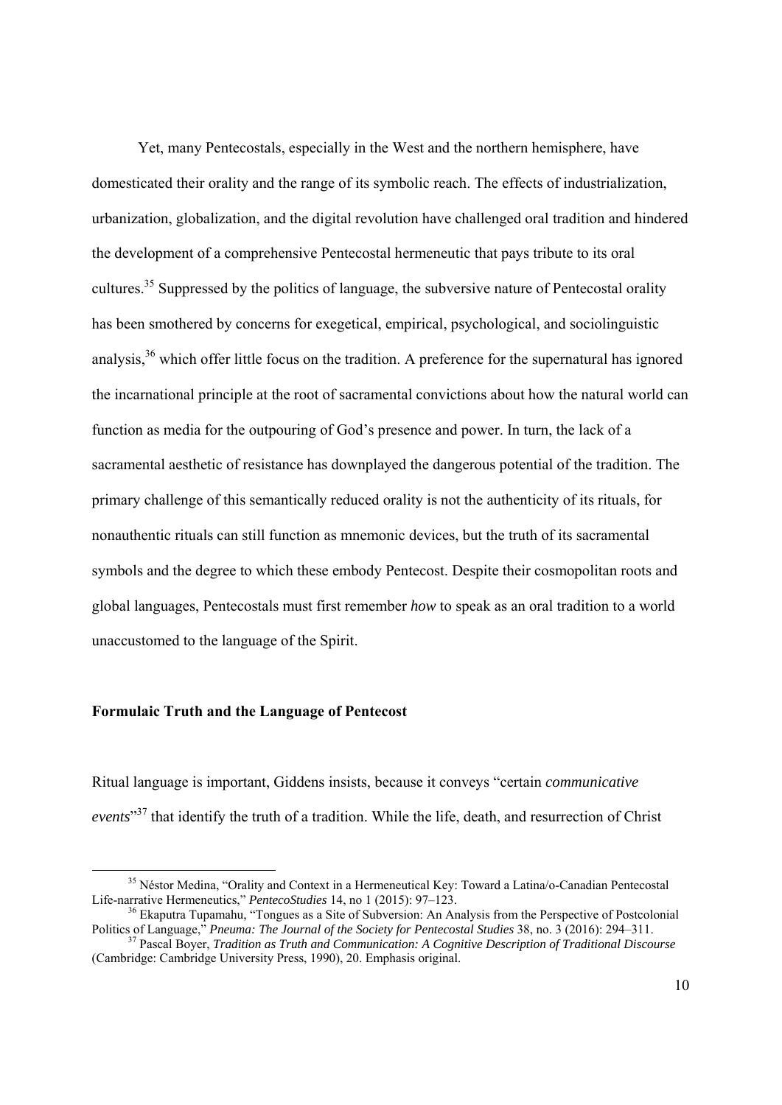Yet, many Pentecostals, especially in the West and the northern hemisphere, have domesticated their orality and the range of its symbolic reach. The effects of industrialization, urbanization, globalization, and the digital revolution have challenged oral tradition and hindered the development of a comprehensive Pentecostal hermeneutic that pays tribute to its oral cultures.<sup>35</sup> Suppressed by the politics of language, the subversive nature of Pentecostal orality has been smothered by concerns for exegetical, empirical, psychological, and sociolinguistic analysis,<sup>36</sup> which offer little focus on the tradition. A preference for the supernatural has ignored the incarnational principle at the root of sacramental convictions about how the natural world can function as media for the outpouring of God's presence and power. In turn, the lack of a sacramental aesthetic of resistance has downplayed the dangerous potential of the tradition. The primary challenge of this semantically reduced orality is not the authenticity of its rituals, for nonauthentic rituals can still function as mnemonic devices, but the truth of its sacramental symbols and the degree to which these embody Pentecost. Despite their cosmopolitan roots and global languages, Pentecostals must first remember *how* to speak as an oral tradition to a world unaccustomed to the language of the Spirit.

#### **Formulaic Truth and the Language of Pentecost**

Ritual language is important, Giddens insists, because it conveys "certain *communicative events*" 37 that identify the truth of a tradition. While the life, death, and resurrection of Christ

<sup>&</sup>lt;sup>35</sup> Néstor Medina, "Orality and Context in a Hermeneutical Key: Toward a Latina/o-Canadian Pentecostal Life-narrative Hermeneutics," *PentecoStudies* 14, no 1 (2015): 97–123.

<sup>&</sup>lt;sup>36</sup> Ekaputra Tupamahu, "Tongues as a Site of Subversion: An Analysis from the Perspective of Postcolonial Politics of Language," *Pneuma: The Journal of the Society for Pentecostal Studies* 38, no. 3 (2016): 294–311.

 $37$  Pascal Bover, Tradition as Truth and Communication: A Cognitive Description of Traditional Discourse (Cambridge: Cambridge University Press, 1990), 20. Emphasis original.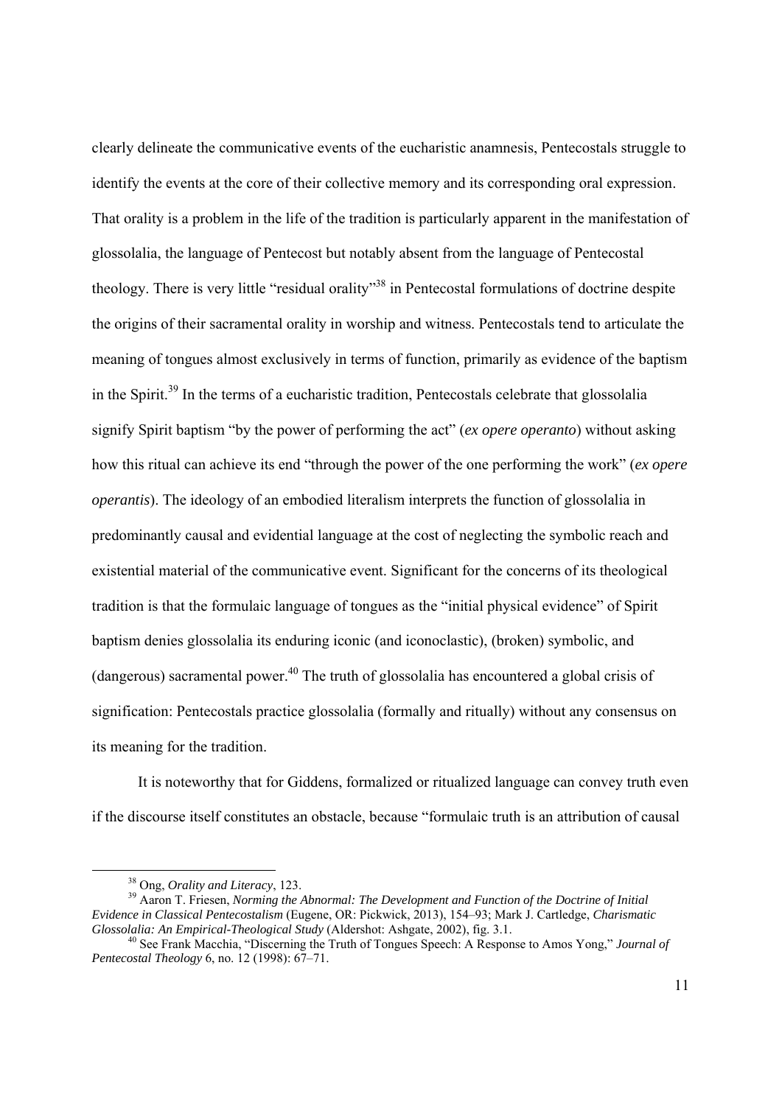clearly delineate the communicative events of the eucharistic anamnesis, Pentecostals struggle to identify the events at the core of their collective memory and its corresponding oral expression. That orality is a problem in the life of the tradition is particularly apparent in the manifestation of glossolalia, the language of Pentecost but notably absent from the language of Pentecostal theology. There is very little "residual orality"<sup>38</sup> in Pentecostal formulations of doctrine despite the origins of their sacramental orality in worship and witness. Pentecostals tend to articulate the meaning of tongues almost exclusively in terms of function, primarily as evidence of the baptism in the Spirit.39 In the terms of a eucharistic tradition, Pentecostals celebrate that glossolalia signify Spirit baptism "by the power of performing the act" (*ex opere operanto*) without asking how this ritual can achieve its end "through the power of the one performing the work" (*ex opere operantis*). The ideology of an embodied literalism interprets the function of glossolalia in predominantly causal and evidential language at the cost of neglecting the symbolic reach and existential material of the communicative event. Significant for the concerns of its theological tradition is that the formulaic language of tongues as the "initial physical evidence" of Spirit baptism denies glossolalia its enduring iconic (and iconoclastic), (broken) symbolic, and (dangerous) sacramental power.<sup>40</sup> The truth of glossolalia has encountered a global crisis of signification: Pentecostals practice glossolalia (formally and ritually) without any consensus on its meaning for the tradition.

 It is noteworthy that for Giddens, formalized or ritualized language can convey truth even if the discourse itself constitutes an obstacle, because "formulaic truth is an attribution of causal

<sup>&</sup>lt;sup>38</sup> Ong, *Orality and Literacy*, 123.<br><sup>39</sup> Aaron T. Friesen, *Norming the Abnormal: The Development and Function of the Doctrine of Initial Evidence in Classical Pentecostalism* (Eugene, OR: Pickwick, 2013), 154–93; Mark J. Cartledge, *Charismatic* 

<sup>&</sup>lt;sup>40</sup> See Frank Macchia, "Discerning the Truth of Tongues Speech: A Response to Amos Yong," *Journal of Pentecostal Theology* 6, no. 12 (1998): 67–71.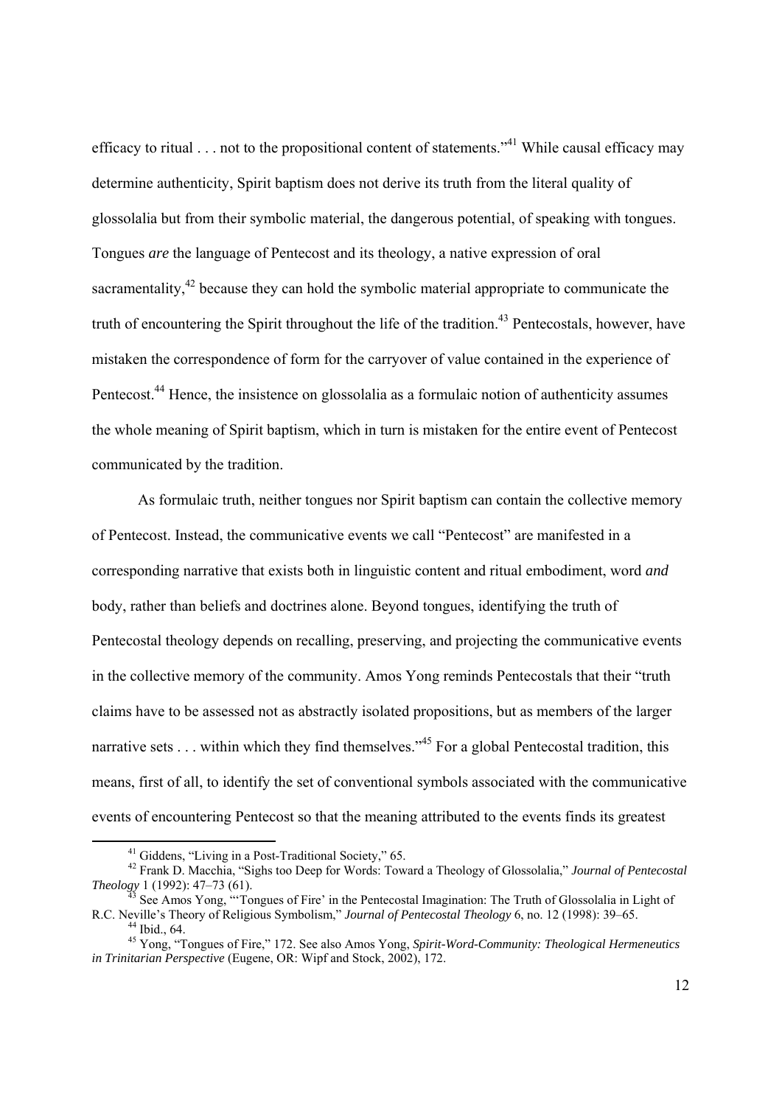efficacy to ritual  $\ldots$  not to the propositional content of statements."<sup>41</sup> While causal efficacy may determine authenticity, Spirit baptism does not derive its truth from the literal quality of glossolalia but from their symbolic material, the dangerous potential, of speaking with tongues. Tongues *are* the language of Pentecost and its theology, a native expression of oral sacramentality, $42$  because they can hold the symbolic material appropriate to communicate the truth of encountering the Spirit throughout the life of the tradition.<sup>43</sup> Pentecostals, however, have mistaken the correspondence of form for the carryover of value contained in the experience of Pentecost.<sup>44</sup> Hence, the insistence on glossolalia as a formulaic notion of authenticity assumes the whole meaning of Spirit baptism, which in turn is mistaken for the entire event of Pentecost communicated by the tradition.

As formulaic truth, neither tongues nor Spirit baptism can contain the collective memory of Pentecost. Instead, the communicative events we call "Pentecost" are manifested in a corresponding narrative that exists both in linguistic content and ritual embodiment, word *and* body, rather than beliefs and doctrines alone. Beyond tongues, identifying the truth of Pentecostal theology depends on recalling, preserving, and projecting the communicative events in the collective memory of the community. Amos Yong reminds Pentecostals that their "truth claims have to be assessed not as abstractly isolated propositions, but as members of the larger narrative sets  $\dots$  within which they find themselves."<sup>45</sup> For a global Pentecostal tradition, this means, first of all, to identify the set of conventional symbols associated with the communicative events of encountering Pentecost so that the meaning attributed to the events finds its greatest

<sup>&</sup>lt;sup>41</sup> Giddens, "Living in a Post-Traditional Society," 65.

<sup>&</sup>lt;sup>42</sup> Frank D. Macchia, "Sighs too Deep for Words: Toward a Theology of Glossolalia," *Journal of Pentecostal Theology* 1 (1992): 47–73 (61). *Theology* 1 (1992): 47–73 (61).<br><sup>43</sup> See Amos Yong, "'Tongues of Fire' in the Pentecostal Imagination: The Truth of Glossolalia in Light of

R.C. Neville's Theory of Religious Symbolism," *Journal of Pentecostal Theology* 6, no. 12 (1998): 39–65. 44 Ibid., 64.

<sup>45</sup> Yong, "Tongues of Fire," 172. See also Amos Yong, *Spirit-Word-Community: Theological Hermeneutics in Trinitarian Perspective* (Eugene, OR: Wipf and Stock, 2002), 172.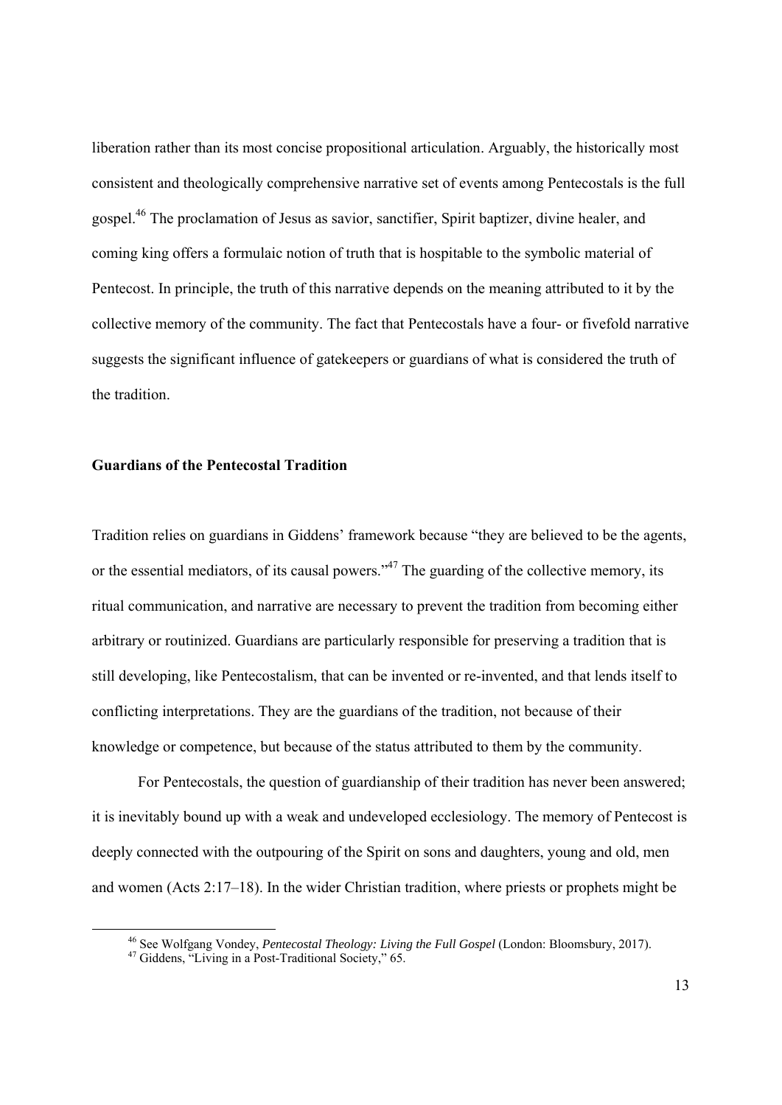liberation rather than its most concise propositional articulation. Arguably, the historically most consistent and theologically comprehensive narrative set of events among Pentecostals is the full gospel.46 The proclamation of Jesus as savior, sanctifier, Spirit baptizer, divine healer, and coming king offers a formulaic notion of truth that is hospitable to the symbolic material of Pentecost. In principle, the truth of this narrative depends on the meaning attributed to it by the collective memory of the community. The fact that Pentecostals have a four- or fivefold narrative suggests the significant influence of gatekeepers or guardians of what is considered the truth of the tradition.

#### **Guardians of the Pentecostal Tradition**

Tradition relies on guardians in Giddens' framework because "they are believed to be the agents, or the essential mediators, of its causal powers."<sup>47</sup> The guarding of the collective memory, its ritual communication, and narrative are necessary to prevent the tradition from becoming either arbitrary or routinized. Guardians are particularly responsible for preserving a tradition that is still developing, like Pentecostalism, that can be invented or re-invented, and that lends itself to conflicting interpretations. They are the guardians of the tradition, not because of their knowledge or competence, but because of the status attributed to them by the community.

For Pentecostals, the question of guardianship of their tradition has never been answered; it is inevitably bound up with a weak and undeveloped ecclesiology. The memory of Pentecost is deeply connected with the outpouring of the Spirit on sons and daughters, young and old, men and women (Acts 2:17–18). In the wider Christian tradition, where priests or prophets might be

<sup>&</sup>lt;sup>46</sup> See Wolfgang Vondey, *Pentecostal Theology: Living the Full Gospel* (London: Bloomsbury, 2017).<br><sup>47</sup> Giddens, "Living in a Post-Traditional Society," 65.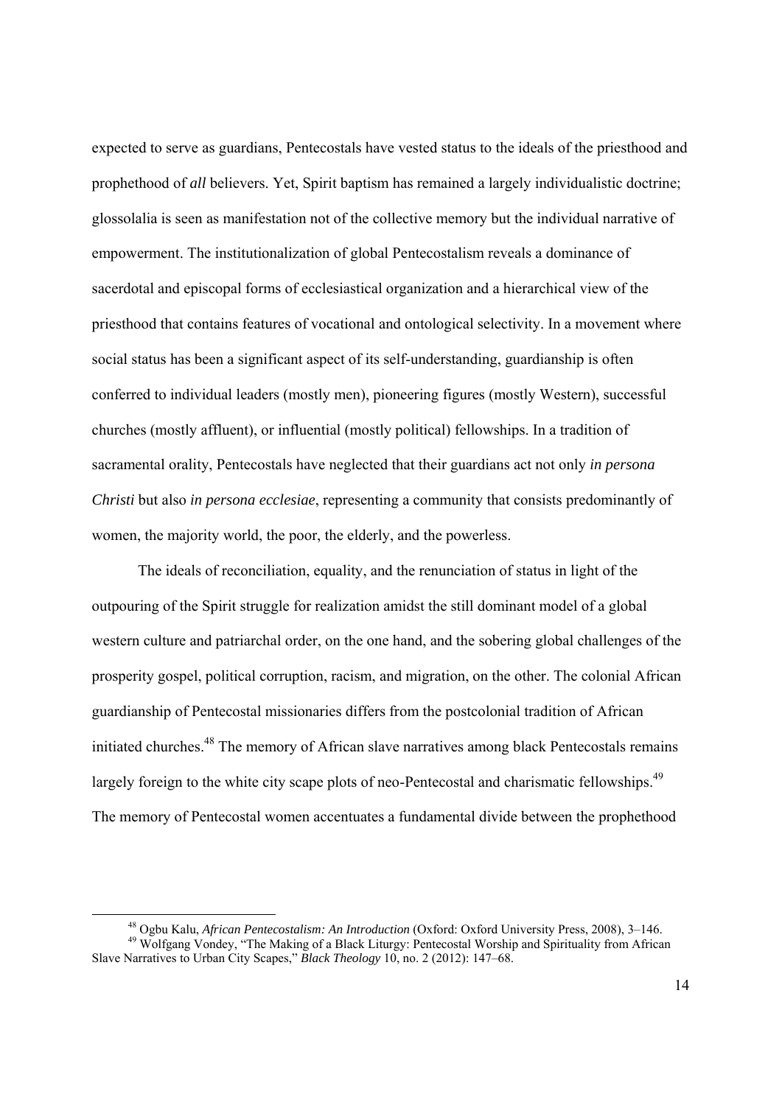expected to serve as guardians, Pentecostals have vested status to the ideals of the priesthood and prophethood of *all* believers. Yet, Spirit baptism has remained a largely individualistic doctrine; glossolalia is seen as manifestation not of the collective memory but the individual narrative of empowerment. The institutionalization of global Pentecostalism reveals a dominance of sacerdotal and episcopal forms of ecclesiastical organization and a hierarchical view of the priesthood that contains features of vocational and ontological selectivity. In a movement where social status has been a significant aspect of its self-understanding, guardianship is often conferred to individual leaders (mostly men), pioneering figures (mostly Western), successful churches (mostly affluent), or influential (mostly political) fellowships. In a tradition of sacramental orality, Pentecostals have neglected that their guardians act not only *in persona Christi* but also *in persona ecclesiae*, representing a community that consists predominantly of women, the majority world, the poor, the elderly, and the powerless.

The ideals of reconciliation, equality, and the renunciation of status in light of the outpouring of the Spirit struggle for realization amidst the still dominant model of a global western culture and patriarchal order, on the one hand, and the sobering global challenges of the prosperity gospel, political corruption, racism, and migration, on the other. The colonial African guardianship of Pentecostal missionaries differs from the postcolonial tradition of African initiated churches.<sup>48</sup> The memory of African slave narratives among black Pentecostals remains largely foreign to the white city scape plots of neo-Pentecostal and charismatic fellowships.<sup>49</sup> The memory of Pentecostal women accentuates a fundamental divide between the prophethood

 <sup>48</sup> Ogbu Kalu, *African Pentecostalism: An Introduction* (Oxford: Oxford University Press, 2008), 3–146. 49 Wolfgang Vondey, "The Making of a Black Liturgy: Pentecostal Worship and Spirituality from African Slave Narratives to Urban City Scapes," *Black Theology* 10, no. 2 (2012): 147–68.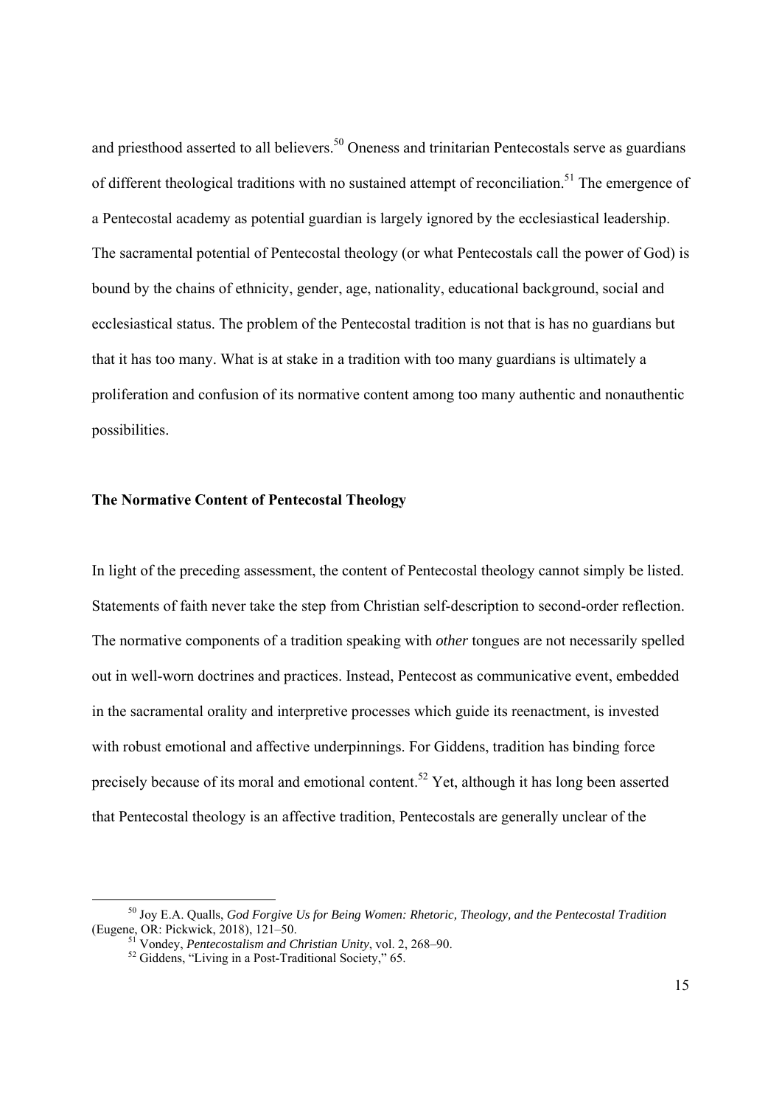and priesthood asserted to all believers.<sup>50</sup> Oneness and trinitarian Pentecostals serve as guardians of different theological traditions with no sustained attempt of reconciliation.<sup>51</sup> The emergence of a Pentecostal academy as potential guardian is largely ignored by the ecclesiastical leadership. The sacramental potential of Pentecostal theology (or what Pentecostals call the power of God) is bound by the chains of ethnicity, gender, age, nationality, educational background, social and ecclesiastical status. The problem of the Pentecostal tradition is not that is has no guardians but that it has too many. What is at stake in a tradition with too many guardians is ultimately a proliferation and confusion of its normative content among too many authentic and nonauthentic possibilities.

### **The Normative Content of Pentecostal Theology**

In light of the preceding assessment, the content of Pentecostal theology cannot simply be listed. Statements of faith never take the step from Christian self-description to second-order reflection. The normative components of a tradition speaking with *other* tongues are not necessarily spelled out in well-worn doctrines and practices. Instead, Pentecost as communicative event, embedded in the sacramental orality and interpretive processes which guide its reenactment, is invested with robust emotional and affective underpinnings. For Giddens, tradition has binding force precisely because of its moral and emotional content.<sup>52</sup> Yet, although it has long been asserted that Pentecostal theology is an affective tradition, Pentecostals are generally unclear of the

 <sup>50</sup> Joy E.A. Qualls, *God Forgive Us for Being Women: Rhetoric, Theology, and the Pentecostal Tradition* (Eugene, OR: Pickwick, 2018), 121–50.<br><sup>51</sup> Vondey, *Pentecostalism and Christian Unity*, vol. 2, 268–90.<br><sup>52</sup> Giddens, "Living in a Post-Traditional Society," 65.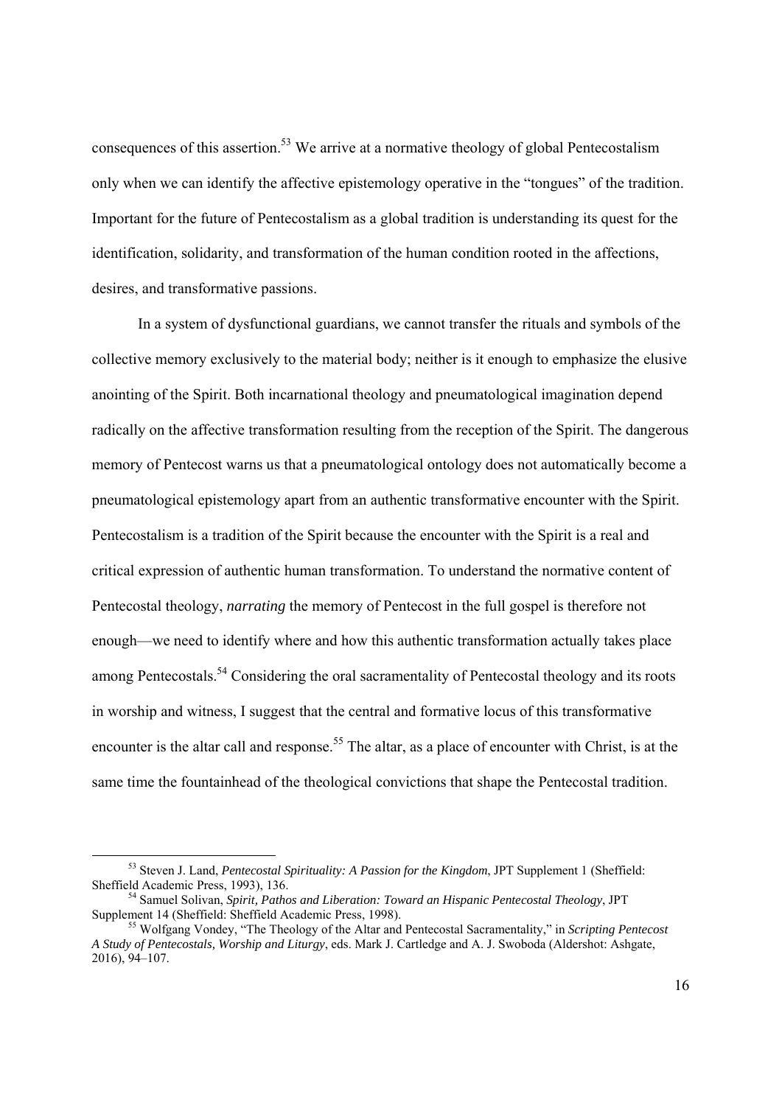consequences of this assertion.<sup>53</sup> We arrive at a normative theology of global Pentecostalism only when we can identify the affective epistemology operative in the "tongues" of the tradition. Important for the future of Pentecostalism as a global tradition is understanding its quest for the identification, solidarity, and transformation of the human condition rooted in the affections, desires, and transformative passions.

 In a system of dysfunctional guardians, we cannot transfer the rituals and symbols of the collective memory exclusively to the material body; neither is it enough to emphasize the elusive anointing of the Spirit. Both incarnational theology and pneumatological imagination depend radically on the affective transformation resulting from the reception of the Spirit. The dangerous memory of Pentecost warns us that a pneumatological ontology does not automatically become a pneumatological epistemology apart from an authentic transformative encounter with the Spirit. Pentecostalism is a tradition of the Spirit because the encounter with the Spirit is a real and critical expression of authentic human transformation. To understand the normative content of Pentecostal theology, *narrating* the memory of Pentecost in the full gospel is therefore not enough—we need to identify where and how this authentic transformation actually takes place among Pentecostals.<sup>54</sup> Considering the oral sacramentality of Pentecostal theology and its roots in worship and witness, I suggest that the central and formative locus of this transformative encounter is the altar call and response.<sup>55</sup> The altar, as a place of encounter with Christ, is at the same time the fountainhead of the theological convictions that shape the Pentecostal tradition.

 <sup>53</sup> Steven J. Land, *Pentecostal Spirituality: A Passion for the Kingdom*, JPT Supplement 1 (Sheffield:

<sup>&</sup>lt;sup>54</sup> Samuel Solivan, *Spirit, Pathos and Liberation: Toward an Hispanic Pentecostal Theology*, JPT Supplement 14 (Sheffield: Sheffield Academic Press, 1998).

<sup>&</sup>lt;sup>55</sup> Wolfgang Vondey, "The Theology of the Altar and Pentecostal Sacramentality," in *Scripting Pentecost A Study of Pentecostals, Worship and Liturgy*, eds. Mark J. Cartledge and A. J. Swoboda (Aldershot: Ashgate, 2016), 94–107.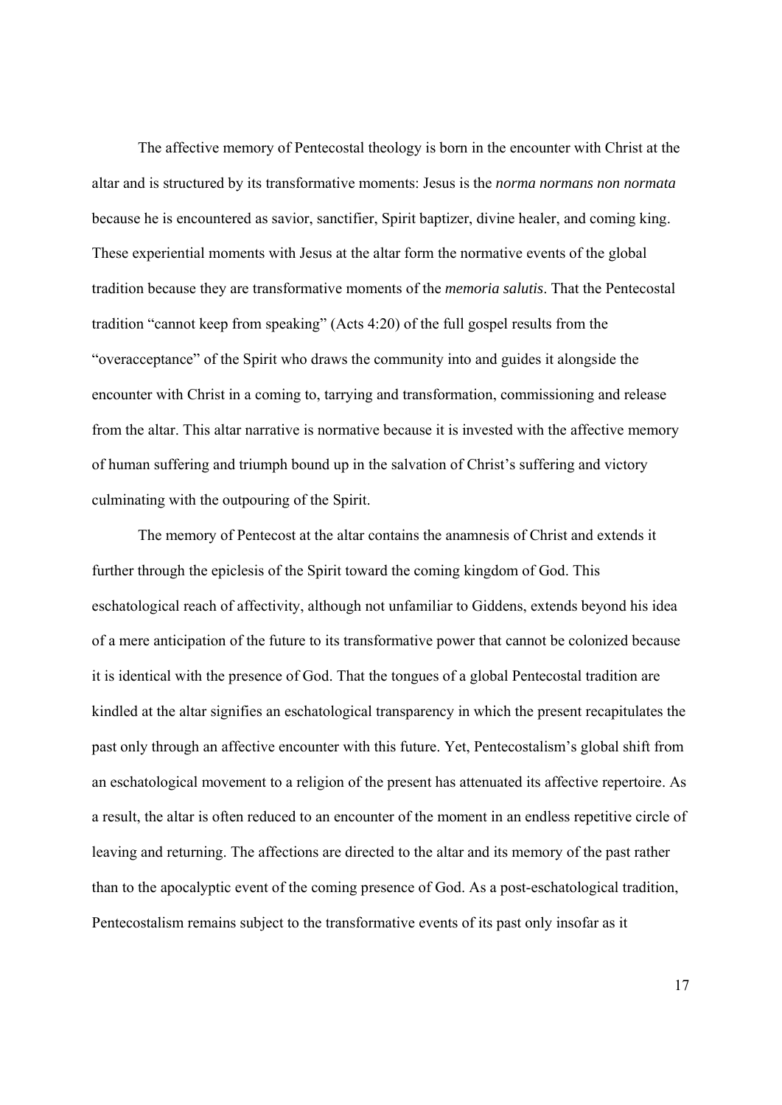The affective memory of Pentecostal theology is born in the encounter with Christ at the altar and is structured by its transformative moments: Jesus is the *norma normans non normata* because he is encountered as savior, sanctifier, Spirit baptizer, divine healer, and coming king. These experiential moments with Jesus at the altar form the normative events of the global tradition because they are transformative moments of the *memoria salutis*. That the Pentecostal tradition "cannot keep from speaking" (Acts 4:20) of the full gospel results from the "overacceptance" of the Spirit who draws the community into and guides it alongside the encounter with Christ in a coming to, tarrying and transformation, commissioning and release from the altar. This altar narrative is normative because it is invested with the affective memory of human suffering and triumph bound up in the salvation of Christ's suffering and victory culminating with the outpouring of the Spirit.

The memory of Pentecost at the altar contains the anamnesis of Christ and extends it further through the epiclesis of the Spirit toward the coming kingdom of God. This eschatological reach of affectivity, although not unfamiliar to Giddens, extends beyond his idea of a mere anticipation of the future to its transformative power that cannot be colonized because it is identical with the presence of God. That the tongues of a global Pentecostal tradition are kindled at the altar signifies an eschatological transparency in which the present recapitulates the past only through an affective encounter with this future. Yet, Pentecostalism's global shift from an eschatological movement to a religion of the present has attenuated its affective repertoire. As a result, the altar is often reduced to an encounter of the moment in an endless repetitive circle of leaving and returning. The affections are directed to the altar and its memory of the past rather than to the apocalyptic event of the coming presence of God. As a post-eschatological tradition, Pentecostalism remains subject to the transformative events of its past only insofar as it

17